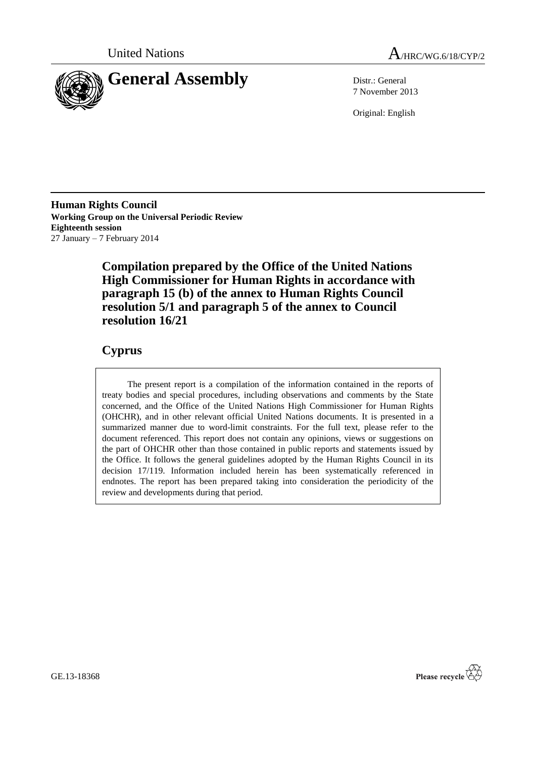



7 November 2013

Original: English

**Human Rights Council Working Group on the Universal Periodic Review Eighteenth session** 27 January – 7 February 2014

> **Compilation prepared by the Office of the United Nations High Commissioner for Human Rights in accordance with paragraph 15 (b) of the annex to Human Rights Council resolution 5/1 and paragraph 5 of the annex to Council resolution 16/21**

## **Cyprus**

The present report is a compilation of the information contained in the reports of treaty bodies and special procedures, including observations and comments by the State concerned, and the Office of the United Nations High Commissioner for Human Rights (OHCHR), and in other relevant official United Nations documents. It is presented in a summarized manner due to word-limit constraints. For the full text, please refer to the document referenced. This report does not contain any opinions, views or suggestions on the part of OHCHR other than those contained in public reports and statements issued by the Office. It follows the general guidelines adopted by the Human Rights Council in its decision 17/119. Information included herein has been systematically referenced in endnotes. The report has been prepared taking into consideration the periodicity of the review and developments during that period.



GE.13-18368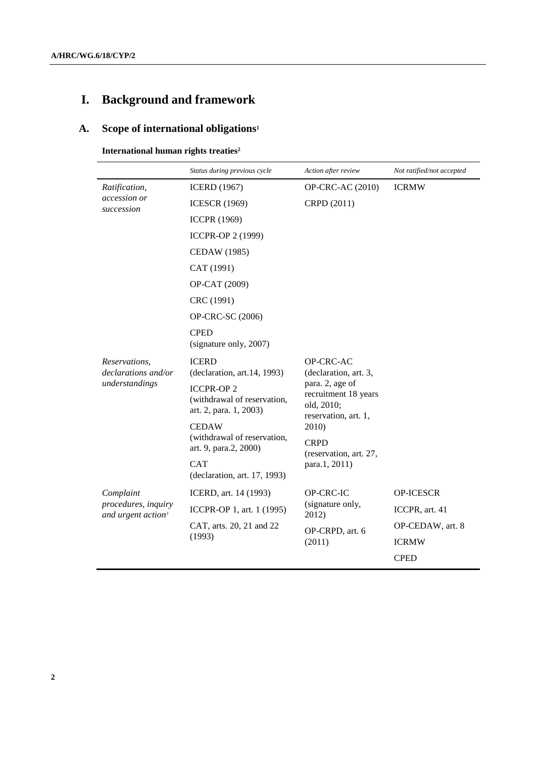# **I. Background and framework**

## **A. Scope of international obligations<sup>1</sup>**

**International human rights treaties<sup>2</sup>**

|                                                       | Status during previous cycle                                                             | Action after review                                                                                                                                                                    | Not ratified/not accepted |  |
|-------------------------------------------------------|------------------------------------------------------------------------------------------|----------------------------------------------------------------------------------------------------------------------------------------------------------------------------------------|---------------------------|--|
| Ratification,                                         | <b>ICERD</b> (1967)                                                                      | <b>OP-CRC-AC (2010)</b>                                                                                                                                                                | <b>ICRMW</b>              |  |
| accession or<br>succession                            | <b>ICESCR (1969)</b>                                                                     | CRPD (2011)                                                                                                                                                                            |                           |  |
|                                                       | <b>ICCPR (1969)</b>                                                                      |                                                                                                                                                                                        |                           |  |
|                                                       | ICCPR-OP 2 (1999)                                                                        |                                                                                                                                                                                        |                           |  |
|                                                       | <b>CEDAW</b> (1985)                                                                      |                                                                                                                                                                                        |                           |  |
|                                                       | CAT (1991)                                                                               |                                                                                                                                                                                        |                           |  |
|                                                       | OP-CAT (2009)                                                                            |                                                                                                                                                                                        |                           |  |
|                                                       | CRC (1991)                                                                               |                                                                                                                                                                                        |                           |  |
|                                                       | OP-CRC-SC (2006)                                                                         |                                                                                                                                                                                        |                           |  |
|                                                       | <b>CPED</b><br>(signature only, 2007)                                                    |                                                                                                                                                                                        |                           |  |
| Reservations,<br>declarations and/or                  | <b>ICERD</b><br>(declaration, art.14, 1993)                                              | OP-CRC-AC<br>(declaration, art. 3,<br>para. 2, age of<br>recruitment 18 years<br>old, 2010;<br>reservation, art. 1,<br>2010)<br><b>CRPD</b><br>(reservation, art. 27,<br>para.1, 2011) |                           |  |
| understandings                                        | <b>ICCPR-OP2</b><br>(withdrawal of reservation,<br>art. 2, para. 1, 2003)                |                                                                                                                                                                                        |                           |  |
|                                                       | <b>CEDAW</b>                                                                             |                                                                                                                                                                                        |                           |  |
|                                                       | (withdrawal of reservation,<br>art. 9, para.2, 2000)                                     |                                                                                                                                                                                        |                           |  |
|                                                       | <b>CAT</b><br>(declaration, art. 17, 1993)                                               |                                                                                                                                                                                        |                           |  |
| Complaint                                             | ICERD, art. 14 (1993)<br>ICCPR-OP 1, art. 1 (1995)<br>CAT, arts. 20, 21 and 22<br>(1993) | <b>OP-CRC-IC</b><br>(signature only,<br>2012)                                                                                                                                          | <b>OP-ICESCR</b>          |  |
| procedures, inquiry<br>and urgent action <sup>3</sup> |                                                                                          |                                                                                                                                                                                        | ICCPR, art. 41            |  |
|                                                       |                                                                                          | OP-CRPD, art. 6<br>(2011)                                                                                                                                                              | OP-CEDAW, art. 8          |  |
|                                                       |                                                                                          |                                                                                                                                                                                        | <b>ICRMW</b>              |  |
|                                                       |                                                                                          |                                                                                                                                                                                        | <b>CPED</b>               |  |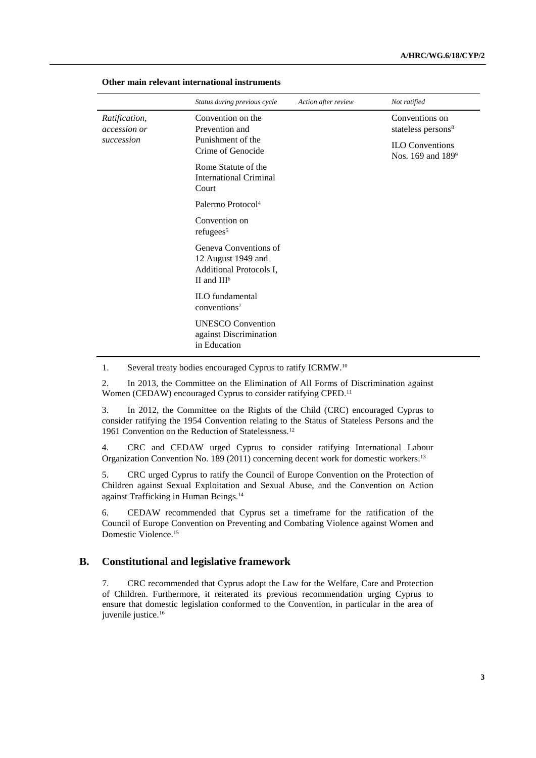|                               | Status during previous cycle                                                                      | Action after review | Not ratified                                     |
|-------------------------------|---------------------------------------------------------------------------------------------------|---------------------|--------------------------------------------------|
| Ratification,<br>accession or | Convention on the<br>Prevention and                                                               |                     | Conventions on<br>stateless persons <sup>8</sup> |
| succession                    | Punishment of the<br>Crime of Genocide                                                            |                     | <b>ILO</b> Conventions<br>Nos. 169 and 1899      |
|                               | Rome Statute of the<br><b>International Criminal</b><br>Court                                     |                     |                                                  |
|                               | Palermo Protocol <sup>4</sup>                                                                     |                     |                                                  |
|                               | Convention on<br>refugees <sup>5</sup>                                                            |                     |                                                  |
|                               | Geneva Conventions of<br>12 August 1949 and<br>Additional Protocols I,<br>II and III <sup>6</sup> |                     |                                                  |
|                               | <b>ILO</b> fundamental<br>conventions <sup>7</sup>                                                |                     |                                                  |
|                               | <b>UNESCO</b> Convention<br>against Discrimination<br>in Education                                |                     |                                                  |

#### **Other main relevant international instruments**

1. Several treaty bodies encouraged Cyprus to ratify ICRMW.<sup>10</sup>

2. In 2013, the Committee on the Elimination of All Forms of Discrimination against Women (CEDAW) encouraged Cyprus to consider ratifying CPED.<sup>11</sup>

3. In 2012, the Committee on the Rights of the Child (CRC) encouraged Cyprus to consider ratifying the 1954 Convention relating to the Status of Stateless Persons and the 1961 Convention on the Reduction of Statelessness.<sup>12</sup>

4. CRC and CEDAW urged Cyprus to consider ratifying International Labour Organization Convention No. 189 (2011) concerning decent work for domestic workers.<sup>13</sup>

5. CRC urged Cyprus to ratify the Council of Europe Convention on the Protection of Children against Sexual Exploitation and Sexual Abuse, and the Convention on Action against Trafficking in Human Beings.<sup>14</sup>

6. CEDAW recommended that Cyprus set a timeframe for the ratification of the Council of Europe Convention on Preventing and Combating Violence against Women and Domestic Violence. 15

#### **B. Constitutional and legislative framework**

7. CRC recommended that Cyprus adopt the Law for the Welfare, Care and Protection of Children. Furthermore, it reiterated its previous recommendation urging Cyprus to ensure that domestic legislation conformed to the Convention, in particular in the area of juvenile justice.16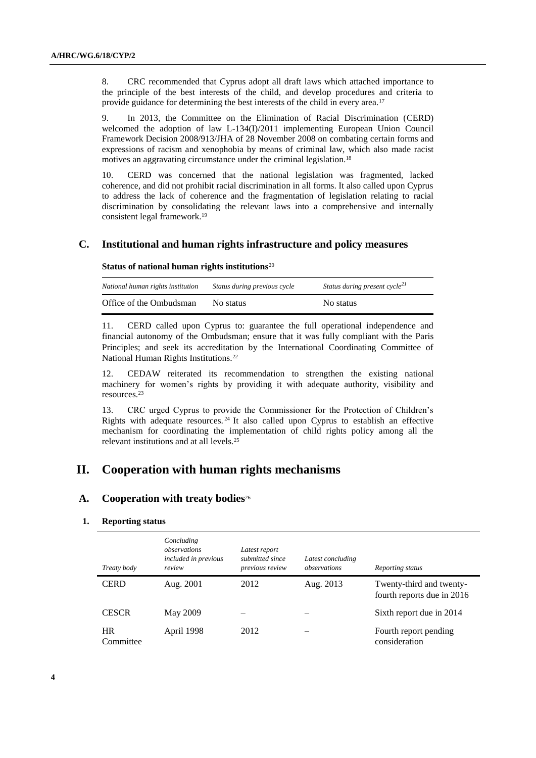8. CRC recommended that Cyprus adopt all draft laws which attached importance to the principle of the best interests of the child, and develop procedures and criteria to provide guidance for determining the best interests of the child in every area.<sup>17</sup>

9. In 2013, the Committee on the Elimination of Racial Discrimination (CERD) welcomed the adoption of law L-134(I)/2011 implementing European Union Council Framework Decision 2008/913/JHA of 28 November 2008 on combating certain forms and expressions of racism and xenophobia by means of criminal law, which also made racist motives an aggravating circumstance under the criminal legislation.<sup>18</sup>

10. CERD was concerned that the national legislation was fragmented, lacked coherence, and did not prohibit racial discrimination in all forms. It also called upon Cyprus to address the lack of coherence and the fragmentation of legislation relating to racial discrimination by consolidating the relevant laws into a comprehensive and internally consistent legal framework.<sup>19</sup>

#### **C. Institutional and human rights infrastructure and policy measures**

**Status of national human rights institutions**<sup>20</sup>

| National human rights institution | Status during previous cycle | Status during present cycle <sup>21</sup> |
|-----------------------------------|------------------------------|-------------------------------------------|
| Office of the Ombudsman           | No status                    | No status                                 |

11. CERD called upon Cyprus to: guarantee the full operational independence and financial autonomy of the Ombudsman; ensure that it was fully compliant with the Paris Principles; and seek its accreditation by the International Coordinating Committee of National Human Rights Institutions.<sup>22</sup>

12. CEDAW reiterated its recommendation to strengthen the existing national machinery for women's rights by providing it with adequate authority, visibility and resources.<sup>23</sup>

13. CRC urged Cyprus to provide the Commissioner for the Protection of Children's Rights with adequate resources. <sup>24</sup> It also called upon Cyprus to establish an effective mechanism for coordinating the implementation of child rights policy among all the relevant institutions and at all levels.<sup>25</sup>

## **II. Cooperation with human rights mechanisms**

#### **A. Cooperation with treaty bodies**<sup>26</sup>

#### **1. Reporting status**

| Treaty body            | Concluding<br>observations<br><i>included in previous</i><br>review | Latest report<br>submitted since<br>previous review | Latest concluding<br>observations | Reporting status                                       |
|------------------------|---------------------------------------------------------------------|-----------------------------------------------------|-----------------------------------|--------------------------------------------------------|
| <b>CERD</b>            | Aug. 2001                                                           | 2012                                                | Aug. 2013                         | Twenty-third and twenty-<br>fourth reports due in 2016 |
| <b>CESCR</b>           | <b>May 2009</b>                                                     |                                                     |                                   | Sixth report due in 2014                               |
| <b>HR</b><br>Committee | April 1998                                                          | 2012                                                |                                   | Fourth report pending<br>consideration                 |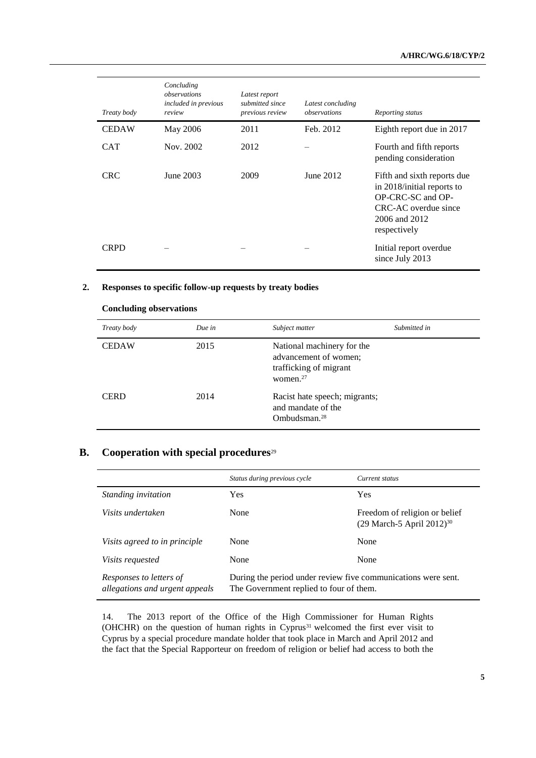#### **A/HRC/WG.6/18/CYP/2**

| Treaty body  | Concluding<br>observations<br>included in previous<br>review | Latest report<br>submitted since<br>previous review | Latest concluding<br>observations | Reporting status                                                                                                                        |
|--------------|--------------------------------------------------------------|-----------------------------------------------------|-----------------------------------|-----------------------------------------------------------------------------------------------------------------------------------------|
| <b>CEDAW</b> | May 2006                                                     | 2011                                                | Feb. 2012                         | Eighth report due in 2017                                                                                                               |
| <b>CAT</b>   | Nov. 2002                                                    | 2012                                                |                                   | Fourth and fifth reports<br>pending consideration                                                                                       |
| <b>CRC</b>   | June 2003                                                    | 2009                                                | June 2012                         | Fifth and sixth reports due<br>in 2018/initial reports to<br>OP-CRC-SC and OP-<br>CRC-AC overdue since<br>2006 and 2012<br>respectively |
| <b>CRPD</b>  |                                                              |                                                     |                                   | Initial report overdue<br>since July 2013                                                                                               |

#### **2. Responses to specific follow-up requests by treaty bodies**

| Treaty body  | Due in | Subject matter                                                                               | Submitted in |
|--------------|--------|----------------------------------------------------------------------------------------------|--------------|
| <b>CEDAW</b> | 2015   | National machinery for the<br>advancement of women;<br>trafficking of migrant<br>women. $27$ |              |
| <b>CERD</b>  | 2014   | Racist hate speech; migrants;<br>and mandate of the<br>Ombudsman. <sup>28</sup>              |              |

#### **Concluding observations**

#### **B. Cooperation with special procedures**<sup>29</sup>

|                                                           | Status during previous cycle                                                                             | Current status                                                           |
|-----------------------------------------------------------|----------------------------------------------------------------------------------------------------------|--------------------------------------------------------------------------|
| <i>Standing invitation</i>                                | <b>Yes</b>                                                                                               | Yes                                                                      |
| Visits undertaken                                         | None                                                                                                     | Freedom of religion or belief<br>$(29 \text{ March-5 April } 2012)^{30}$ |
| Visits agreed to in principle                             | None                                                                                                     | None                                                                     |
| <i>Visits requested</i>                                   | None                                                                                                     | None                                                                     |
| Responses to letters of<br>allegations and urgent appeals | During the period under review five communications were sent.<br>The Government replied to four of them. |                                                                          |

14. The 2013 report of the Office of the High Commissioner for Human Rights (OHCHR) on the question of human rights in Cyprus<sup>31</sup> welcomed the first ever visit to Cyprus by a special procedure mandate holder that took place in March and April 2012 and the fact that the Special Rapporteur on freedom of religion or belief had access to both the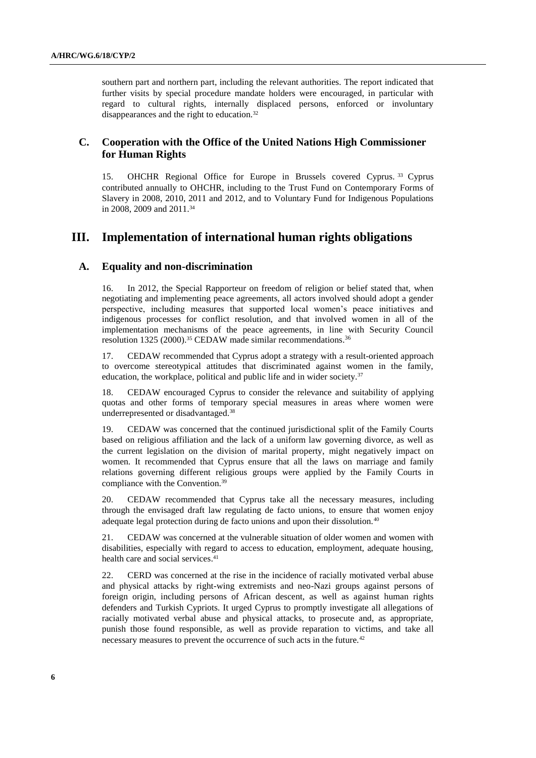southern part and northern part, including the relevant authorities. The report indicated that further visits by special procedure mandate holders were encouraged, in particular with regard to cultural rights, internally displaced persons, enforced or involuntary disappearances and the right to education.<sup>32</sup>

#### **C. Cooperation with the Office of the United Nations High Commissioner for Human Rights**

15. OHCHR Regional Office for Europe in Brussels covered Cyprus. <sup>33</sup> Cyprus contributed annually to OHCHR, including to the Trust Fund on Contemporary Forms of Slavery in 2008, 2010, 2011 and 2012, and to Voluntary Fund for Indigenous Populations in 2008, 2009 and 2011.<sup>34</sup>

### **III. Implementation of international human rights obligations**

#### **A. Equality and non-discrimination**

16. In 2012, the Special Rapporteur on freedom of religion or belief stated that, when negotiating and implementing peace agreements, all actors involved should adopt a gender perspective, including measures that supported local women's peace initiatives and indigenous processes for conflict resolution, and that involved women in all of the implementation mechanisms of the peace agreements, in line with Security Council resolution 1325 (2000).<sup>35</sup> CEDAW made similar recommendations.<sup>36</sup>

17. CEDAW recommended that Cyprus adopt a strategy with a result-oriented approach to overcome stereotypical attitudes that discriminated against women in the family, education, the workplace, political and public life and in wider society.<sup>37</sup>

18. CEDAW encouraged Cyprus to consider the relevance and suitability of applying quotas and other forms of temporary special measures in areas where women were underrepresented or disadvantaged.<sup>38</sup>

19. CEDAW was concerned that the continued jurisdictional split of the Family Courts based on religious affiliation and the lack of a uniform law governing divorce, as well as the current legislation on the division of marital property, might negatively impact on women. It recommended that Cyprus ensure that all the laws on marriage and family relations governing different religious groups were applied by the Family Courts in compliance with the Convention.<sup>39</sup>

20. CEDAW recommended that Cyprus take all the necessary measures, including through the envisaged draft law regulating de facto unions, to ensure that women enjoy adequate legal protection during de facto unions and upon their dissolution.<sup>40</sup>

21. CEDAW was concerned at the vulnerable situation of older women and women with disabilities, especially with regard to access to education, employment, adequate housing, health care and social services.<sup>41</sup>

22. CERD was concerned at the rise in the incidence of racially motivated verbal abuse and physical attacks by right-wing extremists and neo-Nazi groups against persons of foreign origin, including persons of African descent, as well as against human rights defenders and Turkish Cypriots. It urged Cyprus to promptly investigate all allegations of racially motivated verbal abuse and physical attacks, to prosecute and, as appropriate, punish those found responsible, as well as provide reparation to victims, and take all necessary measures to prevent the occurrence of such acts in the future.<sup>42</sup>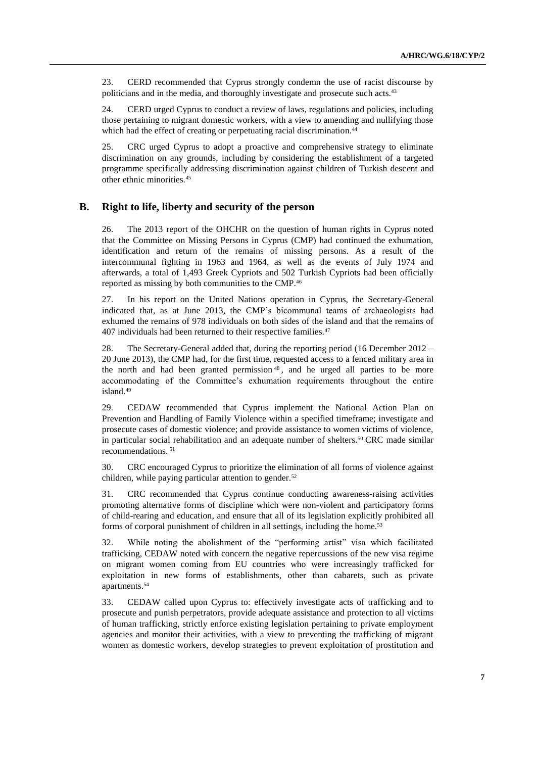23. CERD recommended that Cyprus strongly condemn the use of racist discourse by politicians and in the media, and thoroughly investigate and prosecute such acts.<sup>43</sup>

24. CERD urged Cyprus to conduct a review of laws, regulations and policies, including those pertaining to migrant domestic workers, with a view to amending and nullifying those which had the effect of creating or perpetuating racial discrimination.<sup>44</sup>

25. CRC urged Cyprus to adopt a proactive and comprehensive strategy to eliminate discrimination on any grounds, including by considering the establishment of a targeted programme specifically addressing discrimination against children of Turkish descent and other ethnic minorities.<sup>45</sup>

#### **B. Right to life, liberty and security of the person**

26. The 2013 report of the OHCHR on the question of human rights in Cyprus noted that the Committee on Missing Persons in Cyprus (CMP) had continued the exhumation, identification and return of the remains of missing persons. As a result of the intercommunal fighting in 1963 and 1964, as well as the events of July 1974 and afterwards, a total of 1,493 Greek Cypriots and 502 Turkish Cypriots had been officially reported as missing by both communities to the CMP.<sup>46</sup>

27. In his report on the United Nations operation in Cyprus, the Secretary-General indicated that, as at June 2013, the CMP's bicommunal teams of archaeologists had exhumed the remains of 978 individuals on both sides of the island and that the remains of 407 individuals had been returned to their respective families.<sup>47</sup>

28. The Secretary-General added that, during the reporting period (16 December 2012 – 20 June 2013), the CMP had, for the first time, requested access to a fenced military area in the north and had been granted permission<sup>48</sup>, and he urged all parties to be more accommodating of the Committee's exhumation requirements throughout the entire island.<sup>49</sup>

29. CEDAW recommended that Cyprus implement the National Action Plan on Prevention and Handling of Family Violence within a specified timeframe; investigate and prosecute cases of domestic violence; and provide assistance to women victims of violence, in particular social rehabilitation and an adequate number of shelters.<sup>50</sup> CRC made similar recommendations. <sup>51</sup>

30. CRC encouraged Cyprus to prioritize the elimination of all forms of violence against children, while paying particular attention to gender.<sup>52</sup>

31. CRC recommended that Cyprus continue conducting awareness-raising activities promoting alternative forms of discipline which were non-violent and participatory forms of child-rearing and education, and ensure that all of its legislation explicitly prohibited all forms of corporal punishment of children in all settings, including the home. 53

32. While noting the abolishment of the "performing artist" visa which facilitated trafficking, CEDAW noted with concern the negative repercussions of the new visa regime on migrant women coming from EU countries who were increasingly trafficked for exploitation in new forms of establishments, other than cabarets, such as private apartments.<sup>54</sup>

33. CEDAW called upon Cyprus to: effectively investigate acts of trafficking and to prosecute and punish perpetrators, provide adequate assistance and protection to all victims of human trafficking, strictly enforce existing legislation pertaining to private employment agencies and monitor their activities, with a view to preventing the trafficking of migrant women as domestic workers, develop strategies to prevent exploitation of prostitution and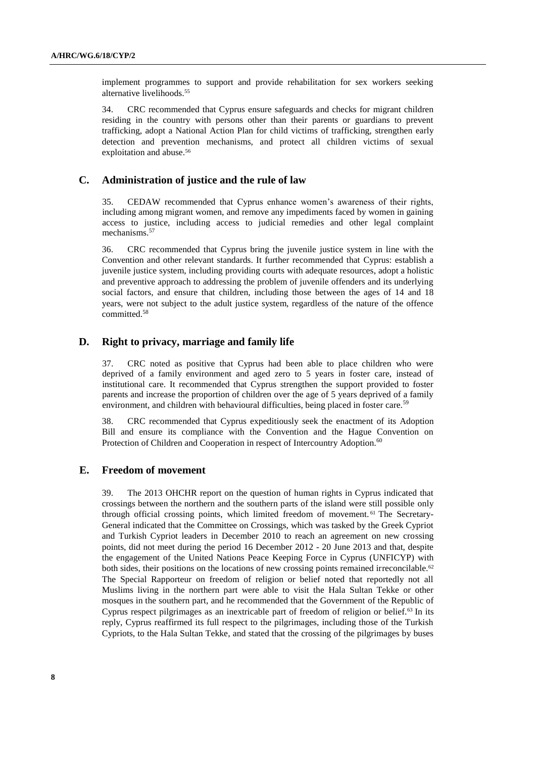implement programmes to support and provide rehabilitation for sex workers seeking alternative livelihoods.<sup>55</sup>

34. CRC recommended that Cyprus ensure safeguards and checks for migrant children residing in the country with persons other than their parents or guardians to prevent trafficking, adopt a National Action Plan for child victims of trafficking, strengthen early detection and prevention mechanisms, and protect all children victims of sexual exploitation and abuse.<sup>56</sup>

#### **C. Administration of justice and the rule of law**

35. CEDAW recommended that Cyprus enhance women's awareness of their rights, including among migrant women, and remove any impediments faced by women in gaining access to justice, including access to judicial remedies and other legal complaint mechanisms.<sup>57</sup>

36. CRC recommended that Cyprus bring the juvenile justice system in line with the Convention and other relevant standards. It further recommended that Cyprus: establish a juvenile justice system, including providing courts with adequate resources, adopt a holistic and preventive approach to addressing the problem of juvenile offenders and its underlying social factors, and ensure that children, including those between the ages of 14 and 18 years, were not subject to the adult justice system, regardless of the nature of the offence committed.<sup>58</sup>

#### **D. Right to privacy, marriage and family life**

37. CRC noted as positive that Cyprus had been able to place children who were deprived of a family environment and aged zero to 5 years in foster care, instead of institutional care. It recommended that Cyprus strengthen the support provided to foster parents and increase the proportion of children over the age of 5 years deprived of a family environment, and children with behavioural difficulties, being placed in foster care.<sup>59</sup>

38. CRC recommended that Cyprus expeditiously seek the enactment of its Adoption Bill and ensure its compliance with the Convention and the Hague Convention on Protection of Children and Cooperation in respect of Intercountry Adoption.<sup>60</sup>

#### **E. Freedom of movement**

39. The 2013 OHCHR report on the question of human rights in Cyprus indicated that crossings between the northern and the southern parts of the island were still possible only through official crossing points, which limited freedom of movement. <sup>61</sup> The Secretary-General indicated that the Committee on Crossings, which was tasked by the Greek Cypriot and Turkish Cypriot leaders in December 2010 to reach an agreement on new crossing points, did not meet during the period 16 December 2012 - 20 June 2013 and that, despite the engagement of the United Nations Peace Keeping Force in Cyprus (UNFICYP) with both sides, their positions on the locations of new crossing points remained irreconcilable.<sup>62</sup> The Special Rapporteur on freedom of religion or belief noted that reportedly not all Muslims living in the northern part were able to visit the Hala Sultan Tekke or other mosques in the southern part, and he recommended that the Government of the Republic of Cyprus respect pilgrimages as an inextricable part of freedom of religion or belief. $63$  In its reply, Cyprus reaffirmed its full respect to the pilgrimages, including those of the Turkish Cypriots, to the Hala Sultan Tekke, and stated that the crossing of the pilgrimages by buses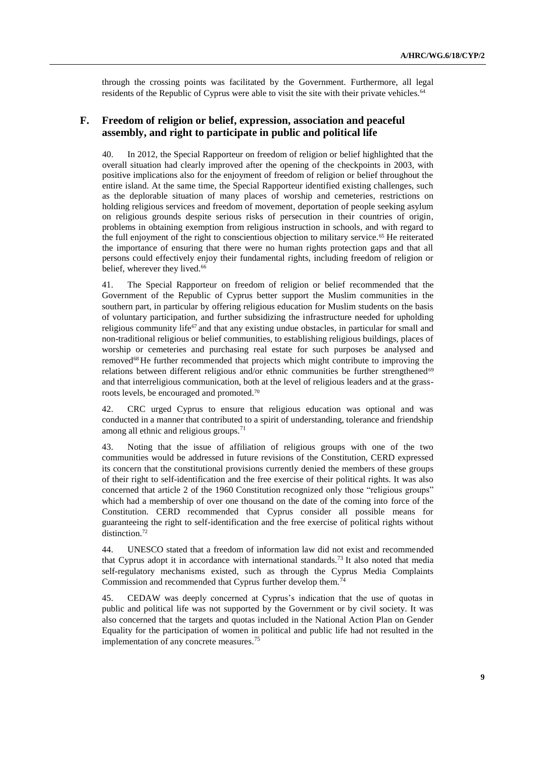through the crossing points was facilitated by the Government. Furthermore, all legal residents of the Republic of Cyprus were able to visit the site with their private vehicles.<sup>64</sup>

#### **F. Freedom of religion or belief, expression, association and peaceful assembly, and right to participate in public and political life**

40. In 2012, the Special Rapporteur on freedom of religion or belief highlighted that the overall situation had clearly improved after the opening of the checkpoints in 2003, with positive implications also for the enjoyment of freedom of religion or belief throughout the entire island. At the same time, the Special Rapporteur identified existing challenges, such as the deplorable situation of many places of worship and cemeteries, restrictions on holding religious services and freedom of movement, deportation of people seeking asylum on religious grounds despite serious risks of persecution in their countries of origin, problems in obtaining exemption from religious instruction in schools, and with regard to the full enjoyment of the right to conscientious objection to military service.<sup>65</sup> He reiterated the importance of ensuring that there were no human rights protection gaps and that all persons could effectively enjoy their fundamental rights, including freedom of religion or belief, wherever they lived.<sup>66</sup>

41. The Special Rapporteur on freedom of religion or belief recommended that the Government of the Republic of Cyprus better support the Muslim communities in the southern part, in particular by offering religious education for Muslim students on the basis of voluntary participation, and further subsidizing the infrastructure needed for upholding religious community life<sup>67</sup> and that any existing undue obstacles, in particular for small and non-traditional religious or belief communities, to establishing religious buildings, places of worship or cemeteries and purchasing real estate for such purposes be analysed and removed<sup>68</sup> He further recommended that projects which might contribute to improving the relations between different religious and/or ethnic communities be further strengthened<sup>69</sup> and that interreligious communication, both at the level of religious leaders and at the grassroots levels, be encouraged and promoted.<sup>70</sup>

42. CRC urged Cyprus to ensure that religious education was optional and was conducted in a manner that contributed to a spirit of understanding, tolerance and friendship among all ethnic and religious groups.<sup>71</sup>

43. Noting that the issue of affiliation of religious groups with one of the two communities would be addressed in future revisions of the Constitution, CERD expressed its concern that the constitutional provisions currently denied the members of these groups of their right to self-identification and the free exercise of their political rights. It was also concerned that article 2 of the 1960 Constitution recognized only those "religious groups" which had a membership of over one thousand on the date of the coming into force of the Constitution. CERD recommended that Cyprus consider all possible means for guaranteeing the right to self-identification and the free exercise of political rights without distinction.<sup>72</sup>

44. UNESCO stated that a freedom of information law did not exist and recommended that Cyprus adopt it in accordance with international standards.<sup>73</sup> It also noted that media self-regulatory mechanisms existed, such as through the Cyprus Media Complaints Commission and recommended that Cyprus further develop them.<sup>74</sup>

45. CEDAW was deeply concerned at Cyprus's indication that the use of quotas in public and political life was not supported by the Government or by civil society. It was also concerned that the targets and quotas included in the National Action Plan on Gender Equality for the participation of women in political and public life had not resulted in the implementation of any concrete measures.<sup>75</sup>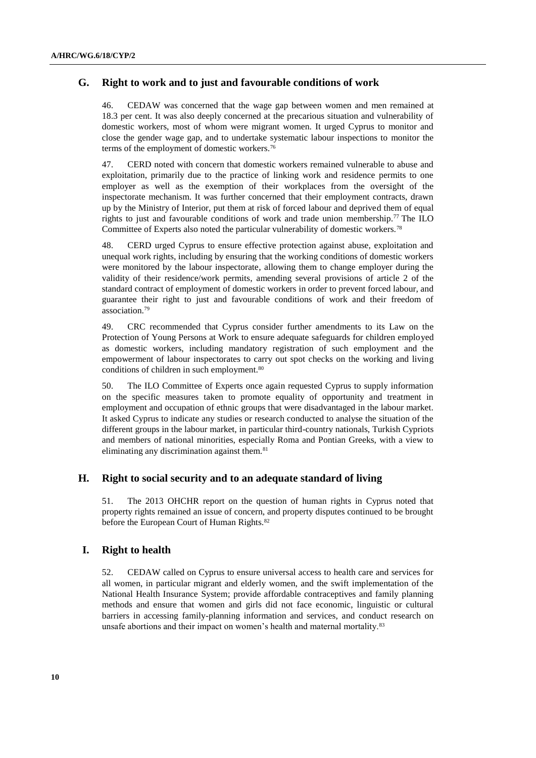#### **G. Right to work and to just and favourable conditions of work**

46. CEDAW was concerned that the wage gap between women and men remained at 18.3 per cent. It was also deeply concerned at the precarious situation and vulnerability of domestic workers, most of whom were migrant women. It urged Cyprus to monitor and close the gender wage gap, and to undertake systematic labour inspections to monitor the terms of the employment of domestic workers.<sup>76</sup>

47. CERD noted with concern that domestic workers remained vulnerable to abuse and exploitation, primarily due to the practice of linking work and residence permits to one employer as well as the exemption of their workplaces from the oversight of the inspectorate mechanism. It was further concerned that their employment contracts, drawn up by the Ministry of Interior, put them at risk of forced labour and deprived them of equal rights to just and favourable conditions of work and trade union membership. <sup>77</sup> The ILO Committee of Experts also noted the particular vulnerability of domestic workers.<sup>78</sup>

48. CERD urged Cyprus to ensure effective protection against abuse, exploitation and unequal work rights, including by ensuring that the working conditions of domestic workers were monitored by the labour inspectorate, allowing them to change employer during the validity of their residence/work permits, amending several provisions of article 2 of the standard contract of employment of domestic workers in order to prevent forced labour, and guarantee their right to just and favourable conditions of work and their freedom of association.<sup>79</sup>

49. CRC recommended that Cyprus consider further amendments to its Law on the Protection of Young Persons at Work to ensure adequate safeguards for children employed as domestic workers, including mandatory registration of such employment and the empowerment of labour inspectorates to carry out spot checks on the working and living conditions of children in such employment.<sup>80</sup>

50. The ILO Committee of Experts once again requested Cyprus to supply information on the specific measures taken to promote equality of opportunity and treatment in employment and occupation of ethnic groups that were disadvantaged in the labour market. It asked Cyprus to indicate any studies or research conducted to analyse the situation of the different groups in the labour market, in particular third-country nationals, Turkish Cypriots and members of national minorities, especially Roma and Pontian Greeks, with a view to eliminating any discrimination against them.<sup>81</sup>

#### **H. Right to social security and to an adequate standard of living**

51. The 2013 OHCHR report on the question of human rights in Cyprus noted that property rights remained an issue of concern, and property disputes continued to be brought before the European Court of Human Rights.<sup>82</sup>

#### **I. Right to health**

52. CEDAW called on Cyprus to ensure universal access to health care and services for all women, in particular migrant and elderly women, and the swift implementation of the National Health Insurance System; provide affordable contraceptives and family planning methods and ensure that women and girls did not face economic, linguistic or cultural barriers in accessing family-planning information and services, and conduct research on unsafe abortions and their impact on women's health and maternal mortality.<sup>83</sup>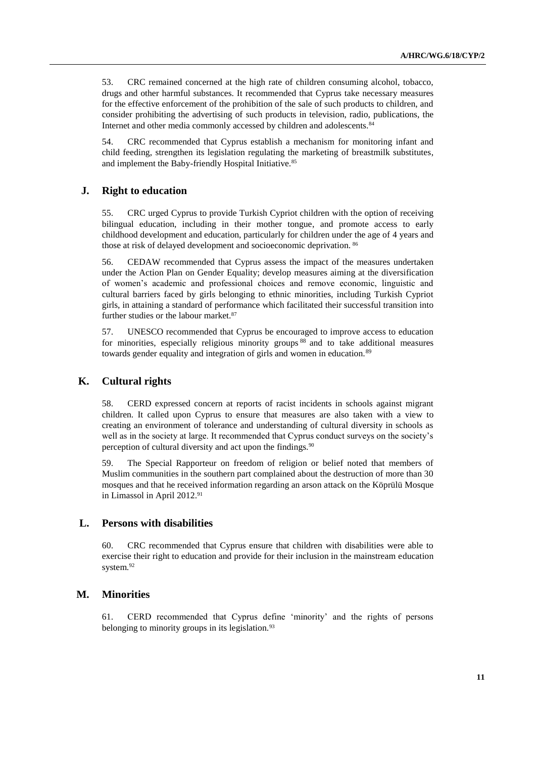53. CRC remained concerned at the high rate of children consuming alcohol, tobacco, drugs and other harmful substances. It recommended that Cyprus take necessary measures for the effective enforcement of the prohibition of the sale of such products to children, and consider prohibiting the advertising of such products in television, radio, publications, the Internet and other media commonly accessed by children and adolescents.<sup>84</sup>

54. CRC recommended that Cyprus establish a mechanism for monitoring infant and child feeding, strengthen its legislation regulating the marketing of breastmilk substitutes, and implement the Baby-friendly Hospital Initiative.<sup>85</sup>

#### **J. Right to education**

55. CRC urged Cyprus to provide Turkish Cypriot children with the option of receiving bilingual education, including in their mother tongue, and promote access to early childhood development and education, particularly for children under the age of 4 years and those at risk of delayed development and socioeconomic deprivation. <sup>86</sup>

56. CEDAW recommended that Cyprus assess the impact of the measures undertaken under the Action Plan on Gender Equality; develop measures aiming at the diversification of women's academic and professional choices and remove economic, linguistic and cultural barriers faced by girls belonging to ethnic minorities, including Turkish Cypriot girls, in attaining a standard of performance which facilitated their successful transition into further studies or the labour market.<sup>87</sup>

57. UNESCO recommended that Cyprus be encouraged to improve access to education for minorities, especially religious minority groups<sup>88</sup> and to take additional measures towards gender equality and integration of girls and women in education.<sup>89</sup>

#### **K. Cultural rights**

58. CERD expressed concern at reports of racist incidents in schools against migrant children. It called upon Cyprus to ensure that measures are also taken with a view to creating an environment of tolerance and understanding of cultural diversity in schools as well as in the society at large. It recommended that Cyprus conduct surveys on the society's perception of cultural diversity and act upon the findings.<sup>90</sup>

59. The Special Rapporteur on freedom of religion or belief noted that members of Muslim communities in the southern part complained about the destruction of more than 30 mosques and that he received information regarding an arson attack on the Köprülü Mosque in Limassol in April 2012.<sup>91</sup>

#### **L. Persons with disabilities**

60. CRC recommended that Cyprus ensure that children with disabilities were able to exercise their right to education and provide for their inclusion in the mainstream education system.<sup>92</sup>

#### **M. Minorities**

61. CERD recommended that Cyprus define 'minority' and the rights of persons belonging to minority groups in its legislation.<sup>93</sup>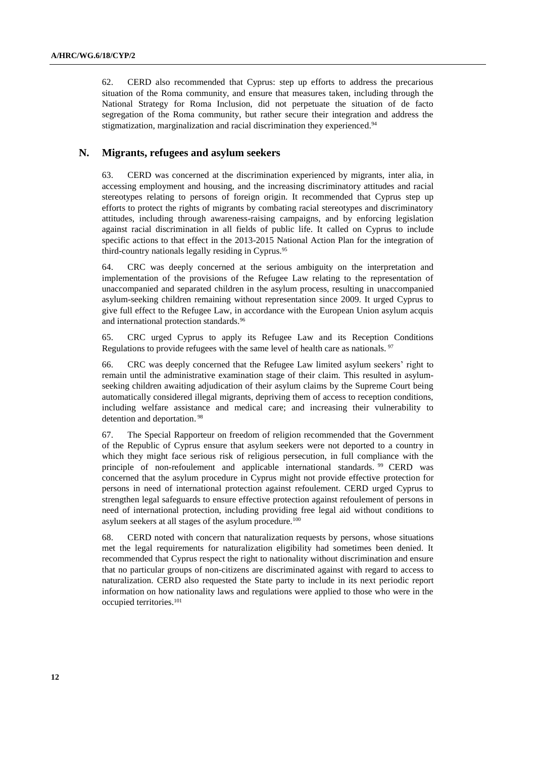62. CERD also recommended that Cyprus: step up efforts to address the precarious situation of the Roma community, and ensure that measures taken, including through the National Strategy for Roma Inclusion, did not perpetuate the situation of de facto segregation of the Roma community, but rather secure their integration and address the stigmatization, marginalization and racial discrimination they experienced. 94

#### **N. Migrants, refugees and asylum seekers**

63. CERD was concerned at the discrimination experienced by migrants, inter alia, in accessing employment and housing, and the increasing discriminatory attitudes and racial stereotypes relating to persons of foreign origin. It recommended that Cyprus step up efforts to protect the rights of migrants by combating racial stereotypes and discriminatory attitudes, including through awareness-raising campaigns, and by enforcing legislation against racial discrimination in all fields of public life. It called on Cyprus to include specific actions to that effect in the 2013-2015 National Action Plan for the integration of third-country nationals legally residing in Cyprus.<sup>95</sup>

64. CRC was deeply concerned at the serious ambiguity on the interpretation and implementation of the provisions of the Refugee Law relating to the representation of unaccompanied and separated children in the asylum process, resulting in unaccompanied asylum-seeking children remaining without representation since 2009. It urged Cyprus to give full effect to the Refugee Law, in accordance with the European Union asylum acquis and international protection standards.<sup>96</sup>

65. CRC urged Cyprus to apply its Refugee Law and its Reception Conditions Regulations to provide refugees with the same level of health care as nationals. <sup>97</sup>

66. CRC was deeply concerned that the Refugee Law limited asylum seekers' right to remain until the administrative examination stage of their claim. This resulted in asylumseeking children awaiting adjudication of their asylum claims by the Supreme Court being automatically considered illegal migrants, depriving them of access to reception conditions, including welfare assistance and medical care; and increasing their vulnerability to detention and deportation. 98

67. The Special Rapporteur on freedom of religion recommended that the Government of the Republic of Cyprus ensure that asylum seekers were not deported to a country in which they might face serious risk of religious persecution, in full compliance with the principle of non-refoulement and applicable international standards. <sup>99</sup> CERD was concerned that the asylum procedure in Cyprus might not provide effective protection for persons in need of international protection against refoulement. CERD urged Cyprus to strengthen legal safeguards to ensure effective protection against refoulement of persons in need of international protection, including providing free legal aid without conditions to asylum seekers at all stages of the asylum procedure.<sup>100</sup>

68. CERD noted with concern that naturalization requests by persons, whose situations met the legal requirements for naturalization eligibility had sometimes been denied. It recommended that Cyprus respect the right to nationality without discrimination and ensure that no particular groups of non-citizens are discriminated against with regard to access to naturalization. CERD also requested the State party to include in its next periodic report information on how nationality laws and regulations were applied to those who were in the occupied territories. 101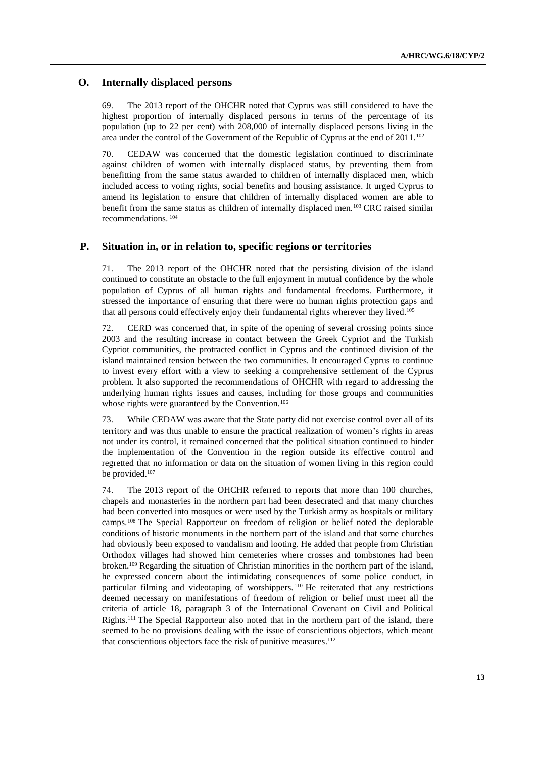#### **O. Internally displaced persons**

69. The 2013 report of the OHCHR noted that Cyprus was still considered to have the highest proportion of internally displaced persons in terms of the percentage of its population (up to 22 per cent) with 208,000 of internally displaced persons living in the area under the control of the Government of the Republic of Cyprus at the end of 2011.<sup>102</sup>

70. CEDAW was concerned that the domestic legislation continued to discriminate against children of women with internally displaced status, by preventing them from benefitting from the same status awarded to children of internally displaced men, which included access to voting rights, social benefits and housing assistance. It urged Cyprus to amend its legislation to ensure that children of internally displaced women are able to benefit from the same status as children of internally displaced men.<sup>103</sup> CRC raised similar recommendations. <sup>104</sup>

#### **P. Situation in, or in relation to, specific regions or territories**

71. The 2013 report of the OHCHR noted that the persisting division of the island continued to constitute an obstacle to the full enjoyment in mutual confidence by the whole population of Cyprus of all human rights and fundamental freedoms. Furthermore, it stressed the importance of ensuring that there were no human rights protection gaps and that all persons could effectively enjoy their fundamental rights wherever they lived.<sup>105</sup>

72. CERD was concerned that, in spite of the opening of several crossing points since 2003 and the resulting increase in contact between the Greek Cypriot and the Turkish Cypriot communities, the protracted conflict in Cyprus and the continued division of the island maintained tension between the two communities. It encouraged Cyprus to continue to invest every effort with a view to seeking a comprehensive settlement of the Cyprus problem. It also supported the recommendations of OHCHR with regard to addressing the underlying human rights issues and causes, including for those groups and communities whose rights were guaranteed by the Convention.<sup>106</sup>

73. While CEDAW was aware that the State party did not exercise control over all of its territory and was thus unable to ensure the practical realization of women's rights in areas not under its control, it remained concerned that the political situation continued to hinder the implementation of the Convention in the region outside its effective control and regretted that no information or data on the situation of women living in this region could be provided.<sup>107</sup>

74. The 2013 report of the OHCHR referred to reports that more than 100 churches, chapels and monasteries in the northern part had been desecrated and that many churches had been converted into mosques or were used by the Turkish army as hospitals or military camps.<sup>108</sup> The Special Rapporteur on freedom of religion or belief noted the deplorable conditions of historic monuments in the northern part of the island and that some churches had obviously been exposed to vandalism and looting. He added that people from Christian Orthodox villages had showed him cemeteries where crosses and tombstones had been broken.<sup>109</sup> Regarding the situation of Christian minorities in the northern part of the island, he expressed concern about the intimidating consequences of some police conduct, in particular filming and videotaping of worshippers. <sup>110</sup> He reiterated that any restrictions deemed necessary on manifestations of freedom of religion or belief must meet all the criteria of article 18, paragraph 3 of the International Covenant on Civil and Political Rights. <sup>111</sup> The Special Rapporteur also noted that in the northern part of the island, there seemed to be no provisions dealing with the issue of conscientious objectors, which meant that conscientious objectors face the risk of punitive measures. 112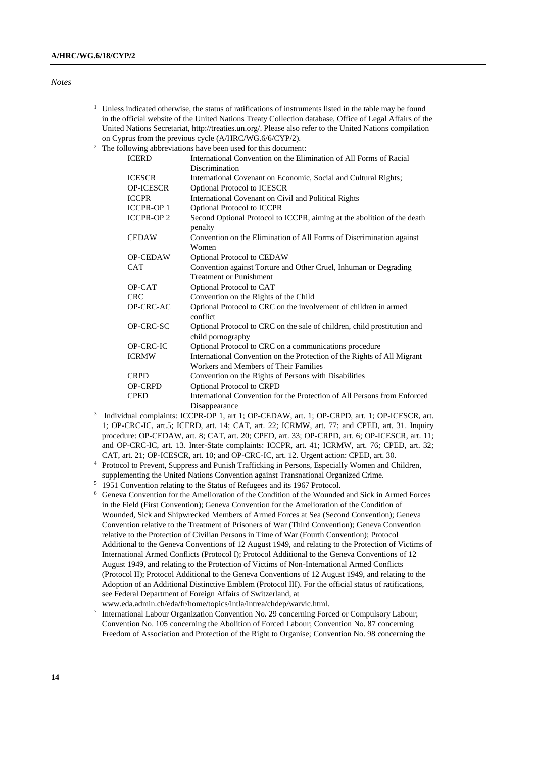#### *Notes*

- $1$  Unless indicated otherwise, the status of ratifications of instruments listed in the table may be found in the official website of the United Nations Treaty Collection database, Office of Legal Affairs of the United Nations Secretariat, [http://treaties.un.org/.](http://treaties.un.org/) Please also refer to the United Nations compilation on Cyprus from the previous cycle (A/HRC/WG.6/6/CYP/2).
- <sup>2</sup> The following abbreviations have been used for this document:

| <b>ICERD</b>      | International Convention on the Elimination of All Forms of Racial<br>Discrimination          |
|-------------------|-----------------------------------------------------------------------------------------------|
| <b>ICESCR</b>     | International Covenant on Economic, Social and Cultural Rights;                               |
| <b>OP-ICESCR</b>  | Optional Protocol to ICESCR                                                                   |
| <b>ICCPR</b>      | International Covenant on Civil and Political Rights                                          |
| <b>ICCPR-OP1</b>  | Optional Protocol to ICCPR                                                                    |
| <b>ICCPR-OP 2</b> | Second Optional Protocol to ICCPR, aiming at the abolition of the death<br>penalty            |
| <b>CEDAW</b>      | Convention on the Elimination of All Forms of Discrimination against<br>Women                 |
| <b>OP-CEDAW</b>   | <b>Optional Protocol to CEDAW</b>                                                             |
| <b>CAT</b>        | Convention against Torture and Other Cruel, Inhuman or Degrading                              |
|                   | <b>Treatment or Punishment</b>                                                                |
| OP-CAT            | Optional Protocol to CAT                                                                      |
| <b>CRC</b>        | Convention on the Rights of the Child                                                         |
| OP-CRC-AC         | Optional Protocol to CRC on the involvement of children in armed<br>conflict                  |
| OP-CRC-SC         | Optional Protocol to CRC on the sale of children, child prostitution and<br>child pornography |
| OP-CRC-IC         | Optional Protocol to CRC on a communications procedure                                        |
| <b>ICRMW</b>      | International Convention on the Protection of the Rights of All Migrant                       |
|                   | Workers and Members of Their Families                                                         |
| <b>CRPD</b>       | Convention on the Rights of Persons with Disabilities                                         |
| <b>OP-CRPD</b>    | Optional Protocol to CRPD                                                                     |
| <b>CPED</b>       | International Convention for the Protection of All Persons from Enforced                      |
|                   | Disannearance                                                                                 |

- Disappearance 3 Individual complaints: ICCPR-OP 1, art 1; OP-CEDAW, art. 1; OP-CRPD, art. 1; OP-ICESCR, art. 1; OP-CRC-IC, art.5; ICERD, art. 14; CAT, art. 22; ICRMW, art. 77; and CPED, art. 31. Inquiry procedure: OP-CEDAW, art. 8; CAT, art. 20; CPED, art. 33; OP-CRPD, art. 6; OP-ICESCR, art. 11; and OP-CRC-IC, art. 13. Inter-State complaints: ICCPR, art. 41; ICRMW, art. 76; CPED, art. 32; CAT, art. 21; OP-ICESCR, art. 10; and OP-CRC-IC, art. 12. Urgent action: CPED, art. 30.
- <sup>4</sup> Protocol to Prevent, Suppress and Punish Trafficking in Persons, Especially Women and Children, supplementing the United Nations Convention against Transnational Organized Crime.
- <sup>5</sup> 1951 Convention relating to the Status of Refugees and its 1967 Protocol.
- <sup>6</sup> Geneva Convention for the Amelioration of the Condition of the Wounded and Sick in Armed Forces in the Field (First Convention); Geneva Convention for the Amelioration of the Condition of Wounded, Sick and Shipwrecked Members of Armed Forces at Sea (Second Convention); Geneva Convention relative to the Treatment of Prisoners of War (Third Convention); Geneva Convention relative to the Protection of Civilian Persons in Time of War (Fourth Convention); Protocol Additional to the Geneva Conventions of 12 August 1949, and relating to the Protection of Victims of International Armed Conflicts (Protocol I); Protocol Additional to the Geneva Conventions of 12 August 1949, and relating to the Protection of Victims of Non-International Armed Conflicts (Protocol II); Protocol Additional to the Geneva Conventions of 12 August 1949, and relating to the Adoption of an Additional Distinctive Emblem (Protocol III). For the official status of ratifications, see Federal Department of Foreign Affairs of Switzerland, at www.eda.admin.ch/eda/fr/home/topics/intla/intrea/chdep/warvic.html.
- 7 International Labour Organization Convention No. 29 concerning Forced or Compulsory Labour; Convention No. 105 concerning the Abolition of Forced Labour; Convention No. 87 concerning Freedom of Association and Protection of the Right to Organise; Convention No. 98 concerning the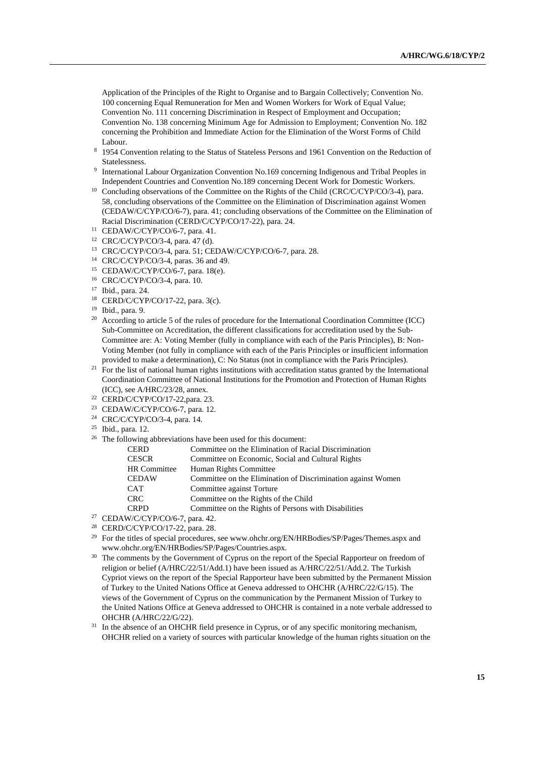Application of the Principles of the Right to Organise and to Bargain Collectively; Convention No. 100 concerning Equal Remuneration for Men and Women Workers for Work of Equal Value; Convention No. 111 concerning Discrimination in Respect of Employment and Occupation; Convention No. 138 concerning Minimum Age for Admission to Employment; Convention No. 182 concerning the Prohibition and Immediate Action for the Elimination of the Worst Forms of Child Labour.

- <sup>8</sup> 1954 Convention relating to the Status of Stateless Persons and 1961 Convention on the Reduction of Statelessness.
- 9 International Labour Organization Convention No.169 concerning Indigenous and Tribal Peoples in Independent Countries and Convention No.189 concerning Decent Work for Domestic Workers.
- <sup>10</sup> Concluding observations of the Committee on the Rights of the Child (CRC/C/CYP/CO/3-4), para. 58, concluding observations of the Committee on the Elimination of Discrimination against Women (CEDAW/C/CYP/CO/6-7), para. 41; concluding observations of the Committee on the Elimination of Racial Discrimination (CERD/C/CYP/CO/17-22), para. 24.
- <sup>11</sup> CEDAW/C/CYP/CO/6-7, para. 41.
- <sup>12</sup> CRC/C/CYP/CO/3-4, para. 47 (d).
- <sup>13</sup> CRC/C/CYP/CO/3-4, para. 51; CEDAW/C/CYP/CO/6-7, para. 28.
- <sup>14</sup> CRC/C/CYP/CO/3-4, paras. 36 and 49.
- <sup>15</sup> CEDAW/C/CYP/CO/6-7, para. 18(e).
- <sup>16</sup> CRC/C/CYP/CO/3-4, para. 10.
- <sup>17</sup> Ibid., para. 24.
- <sup>18</sup> CERD/C/CYP/CO/17-22, para. 3(c).
- <sup>19</sup> Ibid., para. 9.
- <sup>20</sup> According to article 5 of the rules of procedure for the International Coordination Committee (ICC) Sub-Committee on Accreditation, the different classifications for accreditation used by the Sub-Committee are: A: Voting Member (fully in compliance with each of the Paris Principles), B: Non-Voting Member (not fully in compliance with each of the Paris Principles or insufficient information provided to make a determination), C: No Status (not in compliance with the Paris Principles).
- <sup>21</sup> For the list of national human rights institutions with accreditation status granted by the International Coordination Committee of National Institutions for the Promotion and Protection of Human Rights (ICC), see A/HRC/23/28, annex.
- <sup>22</sup> CERD/C/CYP/CO/17-22,para. 23.
- <sup>23</sup> CEDAW/C/CYP/CO/6-7, para. 12.
- <sup>24</sup> CRC/C/CYP/CO/3-4, para. 14.
- <sup>25</sup> Ibid., para. 12.
- <sup>26</sup> The following abbreviations have been used for this document:

| <b>CERD</b>                   | Committee on the Elimination of Racial Discrimination        |
|-------------------------------|--------------------------------------------------------------|
| <b>CESCR</b>                  | Committee on Economic, Social and Cultural Rights            |
| <b>HR</b> Committee           | Human Rights Committee                                       |
| <b>CEDAW</b>                  | Committee on the Elimination of Discrimination against Women |
| <b>CAT</b>                    | Committee against Torture                                    |
| <b>CRC</b>                    | Committee on the Rights of the Child                         |
| <b>CRPD</b>                   | Committee on the Rights of Persons with Disabilities         |
| CEDAW/C/CYP/CO/6-7, para. 42. |                                                              |

- <sup>28</sup> CERD/C/CYP/CO/17-22, para. 28.
- 
- <sup>29</sup> For the titles of special procedures, see www.ohchr.org/EN/HRBodies/SP/Pages/Themes.aspx and www.ohchr.org/EN/HRBodies/SP/Pages/Countries.aspx.
- <sup>30</sup> The comments by the Government of Cyprus on the report of the Special Rapporteur on freedom of religion or belief (A/HRC/22/51/Add.1) have been issued as A/HRC/22/51/Add.2. The Turkish Cypriot views on the report of the Special Rapporteur have been submitted by the Permanent Mission of Turkey to the United Nations Office at Geneva addressed to OHCHR (A/HRC/22/G/15). The views of the Government of Cyprus on the communication by the Permanent Mission of Turkey to the United Nations Office at Geneva addressed to OHCHR is contained in a note verbale addressed to OHCHR (A/HRC/22/G/22).
- <sup>31</sup> In the absence of an OHCHR field presence in Cyprus, or of any specific monitoring mechanism, OHCHR relied on a variety of sources with particular knowledge of the human rights situation on the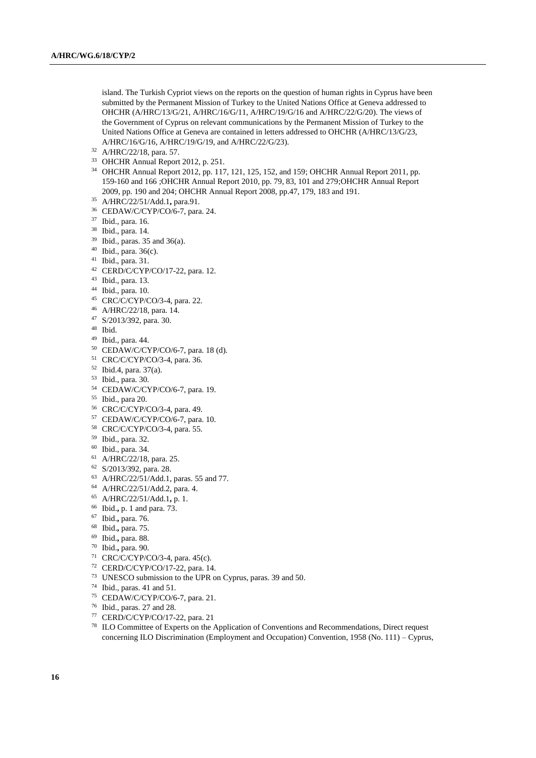island. The Turkish Cypriot views on the reports on the question of human rights in Cyprus have been submitted by the Permanent Mission of Turkey to the United Nations Office at Geneva addressed to OHCHR (A/HRC/13/G/21, A/HRC/16/G/11, A/HRC/19/G/16 and A/HRC/22/G/20). The views of the Government of Cyprus on relevant communications by the Permanent Mission of Turkey to the United Nations Office at Geneva are contained in letters addressed to OHCHR (A/HRC/13/G/23, A/HRC/16/G/16, A/HRC/19/G/19, and A/HRC/22/G/23).

- A/HRC/22/18, para. 57.
- OHCHR Annual Report 2012, p. 251.
- OHCHR Annual Report 2012, pp. 117, 121, 125, 152, and 159; OHCHR Annual Report 2011, pp. 159-160 and 166 ;OHCHR Annual Report 2010, pp. 79, 83, 101 and 279;OHCHR Annual Report 2009, pp. 190 and 204; OHCHR Annual Report 2008, pp.47, 179, 183 and 191.
- A/HRC/22/51/Add.1**,** para.91.
- CEDAW/C/CYP/CO/6-7, para. 24.
- Ibid., para. 16.
- Ibid., para. 14.
- Ibid., paras. 35 and 36(a).
- Ibid., para. 36(c).
- Ibid., para. 31.
- CERD/C/CYP/CO/17-22, para. 12.
- Ibid., para. 13.
- Ibid., para. 10.
- CRC/C/CYP/CO/3-4, para. 22.
- A/HRC/22/18, para. 14.
- S/2013/392, para. 30.
- Ibid.
- Ibid., para. 44.
- CEDAW/C/CYP/CO/6-7, para. 18 (d).
- CRC/C/CYP/CO/3-4, para. 36.
- Ibid.4, para. 37(a).
- Ibid., para. 30.
- CEDAW/C/CYP/CO/6-7, para. 19.
- Ibid., para 20.
- CRC/C/CYP/CO/3-4, para. 49.
- CEDAW/C/CYP/CO/6-7, para. 10.
- CRC/C/CYP/CO/3-4, para. 55.
- Ibid., para. 32.
- Ibid., para. 34.
- A/HRC/22/18, para. 25.
- S/2013/392, para. 28.
- A/HRC/22/51/Add.1, paras. 55 and 77.
- A/HRC/22/51/Add.2, para. 4.
- A/HRC/22/51/Add.1**,** p. 1.
- Ibid.**,** p. 1 and para. 73.
- Ibid.**,** para. 76.
- Ibid.**,** para. 75.
- Ibid.**,** para. 88.
- Ibid.**,** para. 90.
- CRC/C/CYP/CO/3-4, para. 45(c).
- CERD/C/CYP/CO/17-22, para. 14.
- UNESCO submission to the UPR on Cyprus, paras. 39 and 50.
- Ibid., paras. 41 and 51.
- CEDAW/C/CYP/CO/6-7, para. 21.
- Ibid., paras. 27 and 28.
- CERD/C/CYP/CO/17-22, para. 21
- ILO Committee of Experts on the Application of Conventions and Recommendations, Direct request concerning ILO [Discrimination \(Employment and Occupation\) Convention, 1958 \(No. 111\)](http://www.ilo.org/dyn/normlex/en/f?p=NORMLEXPUB:12100:0::NO:12100:P12100_INSTRUMENT_ID:312245:NO) – Cyprus,